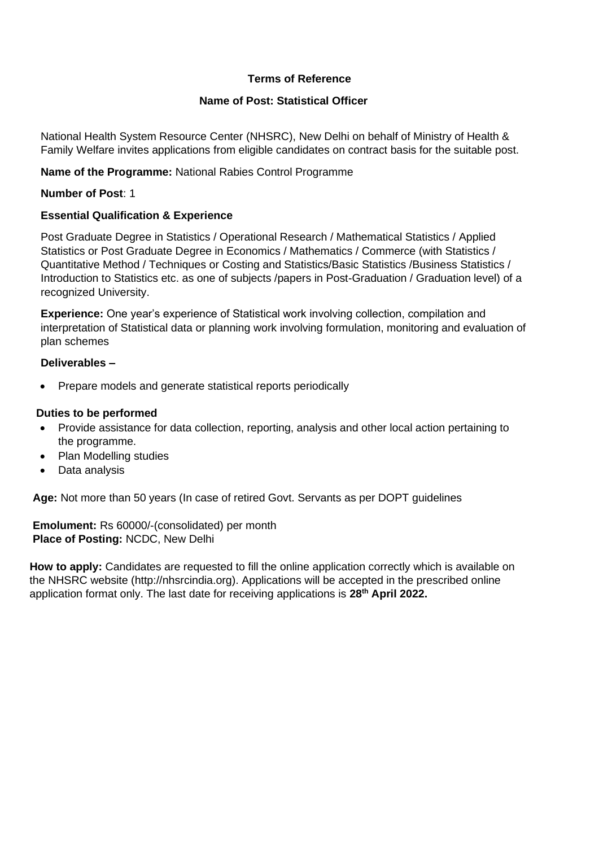#### **Terms of Reference**

#### **Name of Post: Statistical Officer**

National Health System Resource Center (NHSRC), New Delhi on behalf of Ministry of Health & Family Welfare invites applications from eligible candidates on contract basis for the suitable post.

#### **Name of the Programme:** National Rabies Control Programme

#### **Number of Post**: 1

#### **Essential Qualification & Experience**

Post Graduate Degree in Statistics / Operational Research / Mathematical Statistics / Applied Statistics or Post Graduate Degree in Economics / Mathematics / Commerce (with Statistics / Quantitative Method / Techniques or Costing and Statistics/Basic Statistics /Business Statistics / Introduction to Statistics etc. as one of subjects /papers in Post-Graduation / Graduation level) of a recognized University.

**Experience:** One year's experience of Statistical work involving collection, compilation and interpretation of Statistical data or planning work involving formulation, monitoring and evaluation of plan schemes

#### **Deliverables –**

• Prepare models and generate statistical reports periodically

#### **Duties to be performed**

- Provide assistance for data collection, reporting, analysis and other local action pertaining to the programme.
- Plan Modelling studies
- Data analysis

**Age:** Not more than 50 years (In case of retired Govt. Servants as per DOPT guidelines

**Emolument:** Rs 60000/-(consolidated) per month **Place of Posting:** NCDC, New Delhi

**How to apply:** Candidates are requested to fill the online application correctly which is available on the NHSRC website (http://nhsrcindia.org). Applications will be accepted in the prescribed online application format only. The last date for receiving applications is **28 th April 2022.**